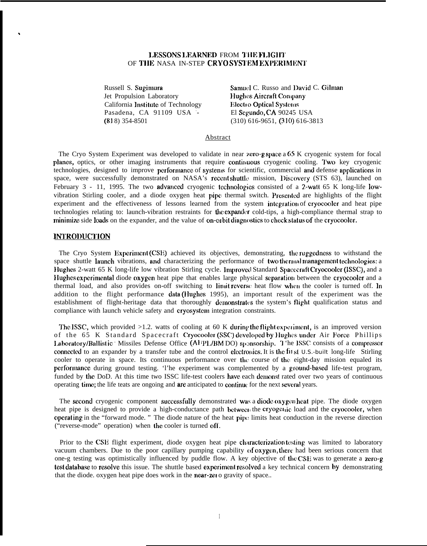## LESSONS LEARNED FROM THE FLIGHT OF THE NASA IN-STEP CRYOSYSTEM EXPERIMENT

Russell S. Sugimura Jet Propulsion Laboratory California Institute of Technology Pasadena. CA 91109 USA - $(818)$  354-8501

Samuel C. Russo and David C. Gilman Hughes Aircraft Company **Electro Optical Systems** El Segundo, CA 90245 USA  $(310)$  616-9651,  $(310)$  616-3813

#### Abstract

The Cryo System Experiment was developed to validate in near zero-g space a 65 K cryogenic system for focal planes, optics, or other imaging instruments that require continuous cryogenic cooling. Two key cryogenic technologies, designed to improve performance of systems for scientific, commercial and defense applications in space, were successfully demonstrated on NASA's recent shuttle mission, Discovery (STS 63), launched on February 3 - 11, 1995. The two advanced cryogenic technologies consisted of a 2-watt 65 K long-life lowvibration Stirling cooler, and a diode oxygen heat pipe thermal switch. Presented are highlights of the flight experiment and the effectiveness of lessons learned from the system integration of cryocooler and heat pipe technologies relating to: launch-vibration restraints for the expander cold-tips, a high-compliance thermal strap to minimize side loads on the expander, and the value of on-orbit diagnostics to check status of the cryocooler.

# **INTRODUCTION**

The Cryo System Experiment (CSE) achieved its objectives, demonstrating, the ruggedness to withstand the space shuttle launch vibrations, and characterizing the performance of two thermal management technologies; a Hughes 2-watt 65 K long-life low vibration Stirling cycle. Improved Standard Spacecraft Cryocooler (ISSC), and a Hughes experimental diode oxygen heat pipe that enables large physical separation between the cryocooler and a thermal load, and also provides on-off switching to limit reverse heat flow when the cooler is turned off. In addition to the flight performance data (Hughes 1995), an important result of the experiment was the establishment of flight-heritage data that thoroughly demonstrates the system's flight qualification status and compliance with launch vehicle safety and cryosystem integration constraints.

The ISSC, which provided >1.2. watts of cooling at 60 K during the flight experiment, is an improved version of the 65 K Standard Spacecraft Cryocooler (SSC) developed by Hughes under Air Force Phillips Laboratory/Ballistic Missiles Defense Office (AFPL/BMDO) sponsorship. The ISSC consists of a compressor connected to an expander by a transfer tube and the control electronics. It is the fit st U.S.-built long-life Stirling cooler to operate in space. Its continuous performance over the course of the eight-day mission equaled its performance during ground testing. '1'he experiment was complemented by a ground-based life-test program, funded by the DoD. At this time two ISSC life-test coolers have each demonst rated over two years of continuous operating time; the life teats are ongoing and are anticipated to continue for the next several years.

The second cryogenic component successfully demonstrated was a diode oxygen heat pipe. The diode oxygen heat pipe is designed to provide a high-conductance path between the cryogenic load and the cryocooler, when operating in the "forward mode." The diode nature of the heat pipe limits heat conduction in the reverse direction ("reverse-mode" operation) when the cooler is turned off.

Prior to the CSE flight experiment, diode oxygen heat pipe characterization testing was limited to laboratory vacuum chambers. Due to the poor capillary pumping capability of oxygen, there had been serious concern that one-g testing was optimistically influenced by puddle flow. A key objective of the CSE was to generate a zero-g test database to resolve this issue. The shuttle based experiment resolved a key technical concern by demonstrating that the diode. oxygen heat pipe does work in the near-zet o gravity of space..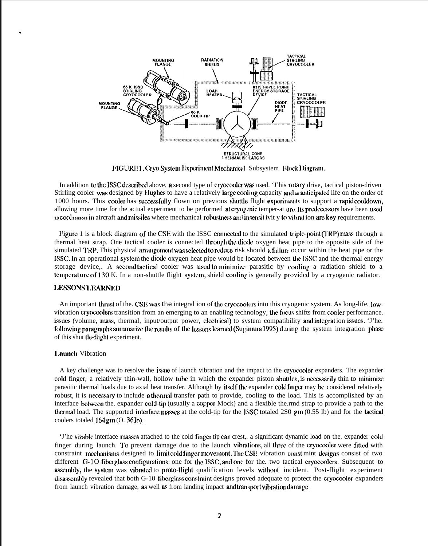

MURLI. Cryo System Experiment Mechanical Subsystem Block Diagram.

In addition to the ISSC described above, a second type of cryocooler was used. 'J'his rotary drive, tactical piston-driven Stirling cooler was designed by Hughes to have a relatively large cooling capacity and an anticipated life on the order of 1000 hours. This cooler has successfully flown on previous shuttle flight experiments to support a rapid cooldown, allowing more time for the actual experiment to be performed at cryopenic temper-at ure. Its predecessors have been used 10 cool sensors in aircraft and missiles where mechanical robustness and insensitivity to vibrat ion are key requirements.

Ifigure 1 is a block diagram of the CSE with the ISSC connected to the simulated triple-point (TRP) mass through a thermal heat strap. One tactical cooler is connected through the diode oxygen heat pipe to the opposite side of the simulated TRP. This physical arrangement was selected to reduce risk should a failure occur within the heat pipe or the lSSC. In an operational systcm the diode oxygen heat pipe would be located between the. ISSC and the thermal energy storage device,. A second tactical cooler was used to minimize parasitic by cooling a radiation shield to a temperature of 130 K. In a non-shuttle flight system, shield cooling is generally provided by a cryogenic radiator.

### I.ESSONS 1.EARNED

.

An important thrust of the. CSE was the integral ion of the eryocoolers into this cryogenic system. As long-life, lowvibration cryocoolers transition from an emerging to an enabling technology, the focus shifts from cooler performance. issues (volume, mass, thermal, input/output power, electrical) to system compatibility and integration issues. 'J'he. following paragraphs summarize the results of the lessons learned (Sugimura 1995) during the system integration phase of this shut the-flight experiment.

### **Launch Vibration**

A key challenge was to resolve the issue of launch vibration and the impact to the cryocooler expanders. The expander cold finger, a relatively thin-wall, hollow tube in which the expander piston shuttles, is necessarily thin to minimize parasitic thermal loads due to axial heat transfer. Although by itself the expander cold finger may be considered relatively robust, it is necessary to include a thermal transfer path to provide, cooling to the load. This is accomplished by an interface between the. expander cold-tip (usually a copper Mock) and a flexible the.rmd strap to provide a path to the thermal load. The supported interface masses at the cold-tip for the ISSC totaled 2S0 gm  $(0.55 \text{ lb})$  and for the tactical coolers totaled 164 gm (O. 36 lb).

'J'he sizable interface masses attached to the cold finger tip can crest,. a significant dynamic load on the. expander cold finger during launch. To prevent damage due to the launch vibrations, all three of the cryocooler were fitted with constraint mechanisms designed to limit cold finger movement. The CSE vibration const mint designs consist of two different G-10 fiberglass configurations: one for the ISSC, and one for the. two tactical cryocoolers. Subsequent to assembly, the system was vibrated to proto-flight qualification levels without incident. Post-flight experiment disassembly revealed that both G-10 fiberglass constraint designs proved adequate to protect the cryocooler expanders from launch vibration damage, **as** well **as** from landing impact **and transport vibration damage.**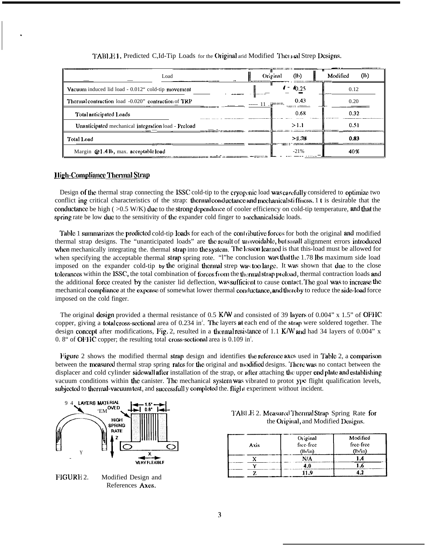| Load                                                | Original<br>(lb)                                                     | (h)<br>Modified |
|-----------------------------------------------------|----------------------------------------------------------------------|-----------------|
| Vacuum induced lid load - 0.012" cold-tip movement  | 0.25                                                                 | 0.12            |
| Thermal contraction load -0.020" contraction of TRP | 0.43<br>games,<br>----- 11 .<br><b>Contract And Committee Assets</b> | 0.20            |
| Total anticipated Loads                             | 0.68                                                                 | 0.32            |
| Unanticipated mechanical integration load - Preload | >1.1                                                                 | 0.51            |
| Total Load                                          | >1.78                                                                | 0.83            |
| Margin $Q(1.41b, \text{max.}$ acceptable load       | $-21%$                                                               | 40%             |

## TABLE 1. Predicted C, Id-Tip Loads for the Original arid Modified Thermal Strep Designs.

# **High-Compliance Thermal Strap**

Design of the thermal strap connecting the ISSC cold-tip to the cryogenic load was carefully considered to optimize two conflict ing critical characteristics of the strap: thermal conductance and mechanical stiffness. 1 t is desirable that the conductance be high  $(0.5 W/K)$  due to the strong dependence of cooler efficiency on cold-tip temperature, and that the spring rate be low due to the sensitivity of the expander cold finger to mechanical side loads.

Table 1 summarizes the predicted cold-tip loads for each of the contributive forces for both the original and modified thermal strap designs. The "unanticipated loads" are the result of unavoidable, but small alignment errors introduced when mechanically integrating the thermal strap into the system. The lesson learned is that this-load must be allowed for when specifying the acceptable thermal strap spring rote. "I'he conclusion was that the 1.78 lbs maximum side load imposed on the expander cold-tip by the original thermal strep was too large. It was shown that due to the close tolerances within the ISSC, the total combination of forces from the thermal strap preload, thermal contraction loads and the additional force created by the canister lid deflection, was sufficient to cause contact. The goal was to increase the mechanical compliance at the expense of somewhat lower thermal conductance, and thereby to reduce the side-load force imposed on the cold finger.

The original design provided a thermal resistance of 0.5 K/W and consisted of 39 layers of 0.004" x 1.5" of OFHC copper, giving a total cross-sectional area of 0.234 in<sup>2</sup>. The layers at each end of the strap were soldered together. The design concept after modifications, Fig. 2, resulted in a thermal resistance of 1.1 K/W and had 34 layers of 0.004" x 0.8" of OFFIC copper; the resulting total cross-sectional area is  $0.109$  in<sup>2</sup>.

Figure 2 shows the modified thermal strap design and identifies the reference axes used in Table 2, a comparison between the measured thermal strap spring rates for the original and modified designs. There was no contact between the displacer and cold cylinder sidewall after installation of the strap, or after attaching the upper end plate and establishing vacuum conditions within the canister. The mechanical system was vibrated to protot ype flight qualification levels, subjected to thermal-vacuum test, and successfull y completed the. flight experiment without incident.





|                                     | TABLE 2. Measured Thermal Strap Spring Rate for |  |  |  |  |  |
|-------------------------------------|-------------------------------------------------|--|--|--|--|--|
| the Original, and Modified Designs. |                                                 |  |  |  |  |  |

| Axis | Original<br>free-free<br>(lh/in) | Modified<br>free-free<br>(h/in) |
|------|----------------------------------|---------------------------------|
|      | N/A                              |                                 |
|      |                                  |                                 |
|      | 11.9                             |                                 |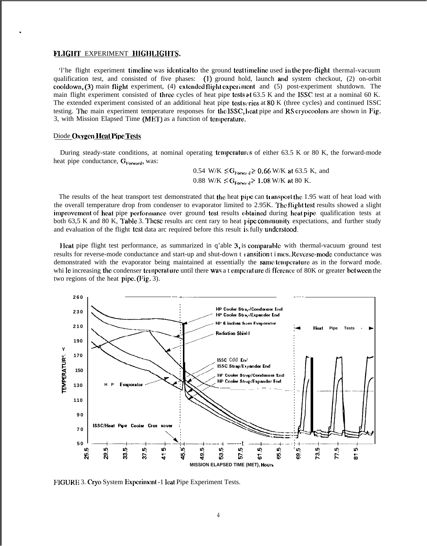### FLIGHT EXPERIMENT HIGHLIGHTS.

'l'he flight experiment timeline was identical to the ground test timeline used in the pre-flight thermal-vacuum qualification test, and consisted of five phases: (1) ground hold, launch and system checkout, (2) on-orbit cooldown,  $(3)$  main flight experiment,  $(4)$  extended flight experiment and  $(5)$  post-experiment shutdown. The main flight experiment consisted of three cycles of heat pipe tests at 63.5 K and the ISSC test at a nominal 60 K. The extended experiment consisted of an additional heat pipe test series at  $80$  K (three cycles) and continued ISSC testing. The main experiment temperature responses for the ISSC, heat pipe and RS cryocoolers are shown in Fig. 3, with Mission Elapsed Time (MET) as a function of temperature.

## Diode Oxygen Heat Pipe Tests

.

During steady-state conditions, at nominal operating temperatures of either  $63.5$  K or 80 K, the forward-mode heat pipe conductance,  $G<sub>Forward</sub>$ , was:

> $0.54$  W/K  $\leq G_{\text{Forward}} \geq 0.66$  W/K at 63.5 K, and 0.88 W/K  $\leq G_{\text{Forward}} \geq 1.08$  W/K at 80 K.

The results of the heat transport test demonstrated that the heat pipe can transport the 1.95 watt of heat load with the overall temperature drop from condenser to evaporator limited to 2.95K. The flight test results showed a slight improvement of heat pipe performance over ground test results obtained during heat pipe qualification tests at both 63,5 K and 80 K, Table 3. These results arc cent rary to heat pipc community expectations, and further study and evaluation of the flight **test** data arc required before this result is fully understood.

Heat pipe flight test performance, as summarized in q'able  $3$ , is comparable with thermal-vacuum ground test results for reverse-mode conductance and start-up and shut-down t *j* ansition t i mes. Reverse-mode conductance was demonstrated with the evaporator being maintained at essentially the same temperature as in the forward mode. whi le increasing the condenser termerature until there was a t emperature di fference of 80K or greater bet ween the two regions of the heat pipe.  $(Fig. 3)$ .



FIGURE 3. Cryo System Experiment -1 Ieat Pipe Experiment Tests.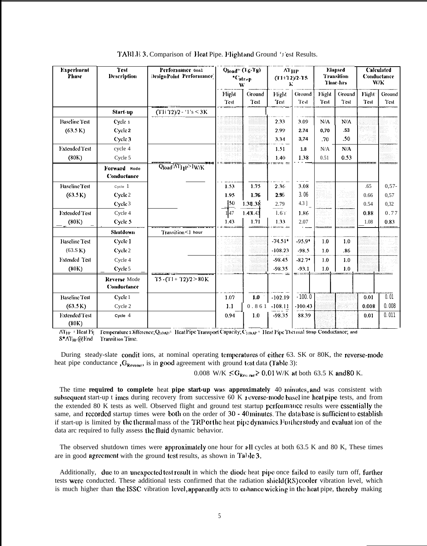| <b>Experiment</b><br><b>Phase</b> | <b>Test</b><br><b>Description</b>  | Performance Goal<br>DesignPoint Performance | $Q_{load}$ = (16-Tg)<br>$*C_{\text{strap}}$<br>W |          | $AT_{HP}$<br>$(T1+T2)/2-T5$<br>к |           | <b>Elapsed</b><br><b>Transition</b><br><b>Time-hrs</b> |                  | <b>Calculated</b><br>Conductance<br>W/K |         |
|-----------------------------------|------------------------------------|---------------------------------------------|--------------------------------------------------|----------|----------------------------------|-----------|--------------------------------------------------------|------------------|-----------------------------------------|---------|
|                                   |                                    |                                             | Flight                                           | Ground   | Flight                           | Ground    | Flight                                                 | Ground           | Flight <sup>-</sup>                     | Ground  |
|                                   |                                    |                                             | Test                                             | Test     | Test                             | Test      | Test                                                   | Test             | Test                                    | Test    |
|                                   | Start-up                           | $(T1i 72)/2 - 1's \leq 3K$                  |                                                  |          |                                  |           |                                                        |                  |                                         |         |
| <b>Baseline Test</b>              | Cycle 1                            |                                             |                                                  |          | 2.33                             | 3.09      | N/A                                                    | N/A              |                                         |         |
| (63.5 K)                          | Cycle 2                            |                                             |                                                  |          | 2.99                             | 2.74      | 0,70                                                   | .53              |                                         |         |
|                                   | Cycle 3                            |                                             |                                                  |          | 3.34                             | 3,74      | .70                                                    | .50 <sub>0</sub> |                                         |         |
| <b>Extended Test</b>              | cycle 4                            |                                             |                                                  |          | 1.51                             | 1.8       | N/A                                                    | N/A              |                                         |         |
| (80K)                             | Cycle 5                            |                                             |                                                  |          | 1.40                             | 1.38      | 0.51                                                   | 0.53             |                                         |         |
|                                   | Forward Mode<br><b>Conductance</b> | Qload <sup>/AT</sup> I <sub>I</sub> P>IW/K  |                                                  |          |                                  |           |                                                        |                  |                                         |         |
| <b>Baseline Test</b>              | Cycle 1                            |                                             | 1.53                                             | 1.75     | 2.36                             | 3.08      |                                                        |                  | .65                                     | $0,57-$ |
| (63.5 K)                          | Cycle 2                            |                                             | 1.95                                             | 1.76     | 2.95                             | 3.06      |                                                        |                  | 0.66                                    | 0,57    |
|                                   | Cycle 3                            |                                             | 150                                              | 1.38.38  | 2.79                             | 4.3 ]     |                                                        |                  | 0.54                                    | 0,32    |
| <b>Lxtended Test</b>              | Cycle 4                            |                                             | 147                                              | 1.431.43 | $1.6$ T                          | 1.86      |                                                        |                  | 0.88                                    | 0.77    |
| (80K)                             | Cycle 5                            |                                             | 1.43                                             | 1.71     | 1.33                             | 2.07      |                                                        |                  | 1.08                                    | 0.83    |
|                                   | <b>Shutdown</b>                    | Transition <1 hour                          |                                                  |          |                                  |           |                                                        |                  |                                         |         |
| <b>Baseline Test</b>              | Cycle 1                            |                                             |                                                  |          | $-74.51*$                        | $-95.9*$  | 1.0                                                    | 10               |                                         |         |
| (63.S K)                          | Cycle 2                            |                                             |                                                  |          | $-108.23$                        | $-98.5$   | 1.0                                                    | .86              |                                         |         |
| Extended Test                     | Cycle 4                            |                                             |                                                  |          | $-98.45$                         | $-82.7*$  | 1.0                                                    | 1.0              |                                         |         |
| (80K)                             | Cycle 5                            |                                             |                                                  |          | $-98.35$                         | $-93.1$   | 1.0                                                    | 1.0              |                                         |         |
|                                   | Reverse Mode<br>Conductance        | $T5 - (T1 + T2)/2 > 80$ K                   |                                                  |          |                                  |           |                                                        |                  |                                         |         |
| <b>Baseline Test</b>              | Cycle 1                            |                                             | 1.07                                             | 1.0      | $-102.19$                        | $-100.0$  |                                                        |                  | 0.01                                    | 0.01    |
| (63.5 K)                          | Cycle 2                            |                                             | 1.1                                              | 0.861    | $-108.11$                        | $-100.43$ |                                                        |                  | 0.008                                   | 0.008   |
| <b>Extended Test</b><br>(80K)     | Cycle $4$                          |                                             | 0.94                                             | 1.0      | -98.35                           | 88.39     |                                                        |                  | 0.01                                    | 0.011   |

TABLE 3. Comparison of Heat Pipe. Flight and Ground 'J'est Results.

Temperature 1 Difference; QLOAD<sup>5</sup> Heat Pipe Transport Capacity; C<sub>SIRAP</sub> Heat Pipe Thermal Strap Conductance; and  $\overline{\text{AT}_{HP}}$  = Heat Pij  $S^*AT_{H^*}(a)$  End Transition Time.

During steady-slate conditions, at nominal operating temperatures of either 63. SK or 80K, the reverse-mode heat pipe conductance ,  $G_{\text{Reverse}}$ , is in good agreement with ground test data (Table 3):

0.008 W/K  $\le$  G<sub>Reverse</sub> > 0.01 W/K at both 63.5 K and 80 K.

The time required to complete heat pipe start-up was approximately 40 minutes, and was consistent with subsequent start-up t imes during recovery from successive 60 K reverse-mode basel ine heat pipe tests, and from the extended 80 K tests as well. Observed flight and ground test startup performance results were essentially the same, and recorded startup times were both on the order of 30 - 40 minutes. The data base is sufficient to establish if start-up is limited by the thermal mass of the TRP of the heat pipe dynamics. Further study and evaluat ion of the data arc required to fully assess the fluid dynamic behavior.

The observed shutdown times were approximately one hour for all cycles at both 63.5 K and 80 K, These times are in good agreement with the ground test results, as shown in Table 3.

Additionally, due to an unexpected test result in which the diode heat pipe once failed to easily turn off, further tests were conducted. These additional tests confirmed that the radiation shield (RS) cooler vibration level, which is much higher than the ISSC vibration level, apparently acts to enhance wicking in the heat pipe, thereby making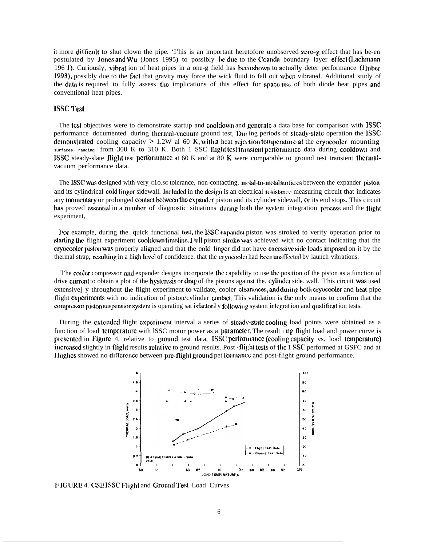it more difticult to shut clown the pipe. 'I'his is an important heretofore unobserved zero-g effect that has be-en postulated by Jones and Wu (Jones 1995) to possibly be due to the Coanda boundary layer effect (Lachmann 196 1). Curiously, vibrat ion of heat pipes in a one-g field has been shown to actually deter performance (Huber 1993), possibly due to the fact that gravity may force the wick fluid to fall out when vibrated. Additional study of the data is required to fully assess the implications of this effect for space use of both diode heat pipes and conventional heat pipes.

# **ISSC** Test

The tcsi objectives were to demonstrate startup and cooldown and gcncratc a data base for comparison with ISSC performance documented during thermal-vacuum ground test, During periods of steady-state operation the ISSC demonst rated cooling capacity  $> 1.2W$  al 60 K, with a heat rejection temperature at the cryocooler mounting surfaces ranging from 300 K to 310 K. Both 1 SSC flight test transient performance data during cooldown and ISSC steady-slate flight test performance at 60 K and at 80 K were comparable to ground test transient thermalvacuum performance data.

The ISSC was designed with very c10.sc tolerance, non-contacting, n~tal-to-metal surfaces between the expander piston and its cylindrical cold finger sidewall. Included in the design is an electrical resistance measuring circuit that indicates any momentary or prolonged contact between the expander piston and its cylinder sidewall, or its end stops. This circuit has proved essential in a number of diagnostic situations during both the system integration process and the flight experiment,

For example, during the. quick functional test, the ISSC expander piston was stroked to verify operation prior to starting the flight experiment cooldown timeline. I ull piston stroke was achieved with no contact indicating that the cryocooler piston was properly aligned and that the cold finger did not have excessive side loads imposed on it by the thermal strap, resulting in a high level of confidence, that the cryocooler had been unaffected by launch vibrations.

'l'he cooler compressor and expander designs incorporate the capability to use the position of the piston as a function of drive current to obtain a plot of the hysteresis or drag of the pistons against the. cylinder side. wall. 'l'his circuit was used extensive] y throughout the flight experiment to validate, cooler clearances, and during both cryocooler and heat pipe flight experiments with no indication of piston/cylinder contact. This validation is the only means to confirm that the compressor piston suspension system is operating sat isfactoril y following system integration and qualification tests.

During the extended flight experiment interval a series of steady-state cooling load points were obtained as a function of load temperature with lSSC motor power as a parameter. The result i ng flight load and power curve is presented in Figure 4, relative to ground test data, ISSC performance (cooling capacity vs. load temperature) increased slightly in flight results relative to ground results. Post -flight tests of the 1 SSC performed at GSFC and at Hughes showed no difference between prc-flight ground pet formance and post-flight ground performance.



FIGURE 4. CSE ISSC Flight and Ground Test Load Curves